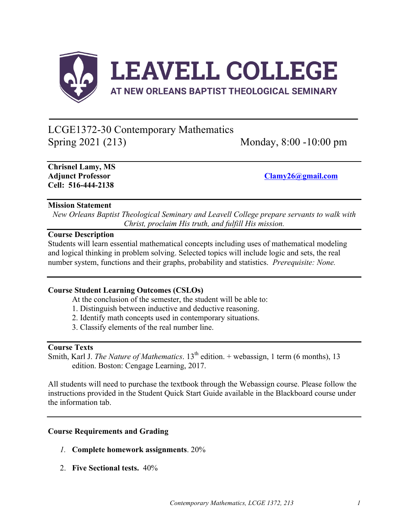

# LCGE1372-30 Contemporary Mathematics Spring 2021 (213) Monday, 8:00 -10:00 pm

**Chrisnel Lamy, MS Cell: 516-444-2138**

**Adjunct Professor Clamy26@gmail.com**

#### **Mission Statement**

*New Orleans Baptist Theological Seminary and Leavell College prepare servants to walk with Christ, proclaim His truth, and fulfill His mission.*

### **Course Description**

Students will learn essential mathematical concepts including uses of mathematical modeling and logical thinking in problem solving. Selected topics will include logic and sets, the real number system, functions and their graphs, probability and statistics. *Prerequisite: None.*

#### **Course Student Learning Outcomes (CSLOs)**

At the conclusion of the semester, the student will be able to:

- 1. Distinguish between inductive and deductive reasoning.
- 2. Identify math concepts used in contemporary situations.
- 3. Classify elements of the real number line.

#### **Course Texts**

Smith, Karl J. *The Nature of Mathematics*. 13<sup>th</sup> edition. + webassign, 1 term (6 months), 13 edition. Boston: Cengage Learning, 2017.

All students will need to purchase the textbook through the Webassign course. Please follow the instructions provided in the Student Quick Start Guide available in the Blackboard course under the information tab.

#### **Course Requirements and Grading**

- *1.* **Complete homework assignments**. 20%
- 2. **Five Sectional tests.** 40%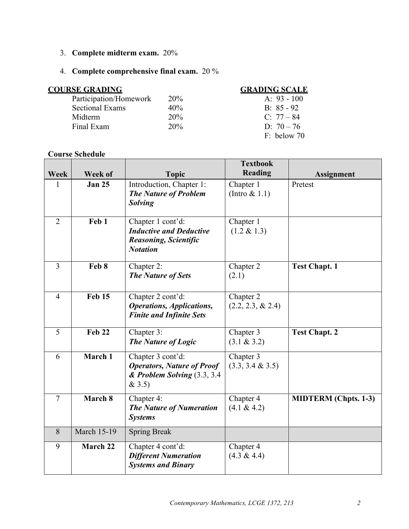3. **Complete midterm exam.** 20%

# 4. **Complete comprehensive final exam.** 20 %

| <b>COURSE GRADING</b>  | <b>GRADING SCALE</b> |               |
|------------------------|----------------------|---------------|
| Participation/Homework | 20%                  | A: $93 - 100$ |
| <b>Sectional Exams</b> | 40%                  | $B: 85 - 92$  |
| Midterm                | 20%                  | $C: 77 - 84$  |
| Final Exam             | 20%                  | D: $70 - 76$  |
|                        |                      | $F:$ below 70 |

# **Course Schedule**

| Week           | Week of            | <b>Topic</b>                                                                                           | <b>Textbook</b><br>Reading        | <b>Assignment</b>           |
|----------------|--------------------|--------------------------------------------------------------------------------------------------------|-----------------------------------|-----------------------------|
| $\mathbf{1}$   | <b>Jan 25</b>      | Introduction, Chapter 1:<br><b>The Nature of Problem</b><br><b>Solving</b>                             | Chapter 1<br>(Intro $& 1.1$ )     | Pretest                     |
| $\overline{2}$ | Feb 1              | Chapter 1 cont'd:<br><b>Inductive and Deductive</b><br><b>Reasoning, Scientific</b><br><b>Notation</b> | Chapter 1<br>$(1.2 \& 1.3)$       |                             |
| $\overline{3}$ | Feb 8              | Chapter 2:<br><b>The Nature of Sets</b>                                                                | Chapter 2<br>(2.1)                | <b>Test Chapt. 1</b>        |
| $\overline{4}$ | <b>Feb 15</b>      | Chapter 2 cont'd:<br><b>Operations, Applications,</b><br><b>Finite and Infinite Sets</b>               | Chapter 2<br>$(2.2, 2.3, \& 2.4)$ |                             |
| 5              | <b>Feb 22</b>      | Chapter 3:<br><b>The Nature of Logic</b>                                                               | Chapter 3<br>(3.1 & 3.2)          | <b>Test Chapt. 2</b>        |
| 6              | March 1            | Chapter 3 cont'd:<br><b>Operators, Nature of Proof</b><br>& Problem Solving (3.3, 3.4)<br>& 3.5)       | Chapter 3<br>$(3.3, 3.4 \& 3.5)$  |                             |
| $\overline{7}$ | March 8            | Chapter 4:<br>The Nature of Numeration<br><b>Systems</b>                                               | Chapter 4<br>(4.1 & 4.2)          | <b>MIDTERM</b> (Chpts. 1-3) |
| 8              | <b>March 15-19</b> | <b>Spring Break</b>                                                                                    |                                   |                             |
| 9              | March 22           | Chapter 4 cont'd:<br><b>Different Numeration</b><br><b>Systems and Binary</b>                          | Chapter 4<br>$(4.3 \& 4.4)$       |                             |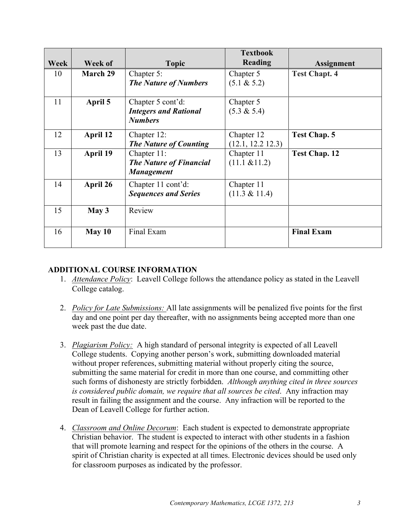|      |                 |                                                     | <b>Textbook</b>   |                      |
|------|-----------------|-----------------------------------------------------|-------------------|----------------------|
| Week | Week of         | <b>Topic</b>                                        | <b>Reading</b>    | <b>Assignment</b>    |
| 10   | <b>March 29</b> | Chapter 5:                                          | Chapter 5         | <b>Test Chapt. 4</b> |
|      |                 | <b>The Nature of Numbers</b>                        | (5.1 & 5.2)       |                      |
| 11   | April 5         | Chapter 5 cont'd:                                   | Chapter 5         |                      |
|      |                 | <b>Integers and Rational</b>                        | $(5.3 \& 5.4)$    |                      |
|      |                 | <b>Numbers</b>                                      |                   |                      |
| 12   | April 12        | Chapter 12:                                         | Chapter 12        | <b>Test Chap. 5</b>  |
|      |                 | <b>The Nature of Counting</b>                       | (12.1, 12.2 12.3) |                      |
| 13   | April 19        | Chapter 11:                                         | Chapter 11        | <b>Test Chap. 12</b> |
|      |                 | <b>The Nature of Financial</b><br><b>Management</b> | $(11.1 \& 11.2)$  |                      |
| 14   | April 26        | Chapter 11 cont'd:                                  | Chapter 11        |                      |
|      |                 | <b>Sequences and Series</b>                         | $(11.3 \& 11.4)$  |                      |
| 15   | May 3           | Review                                              |                   |                      |
| 16   | May 10          | Final Exam                                          |                   | <b>Final Exam</b>    |

## **ADDITIONAL COURSE INFORMATION**

- 1. *Attendance Policy*: Leavell College follows the attendance policy as stated in the Leavell College catalog.
- 2. *Policy for Late Submissions:* All late assignments will be penalized five points for the first day and one point per day thereafter, with no assignments being accepted more than one week past the due date.
- 3. *Plagiarism Policy:* A high standard of personal integrity is expected of all Leavell College students. Copying another person's work, submitting downloaded material without proper references, submitting material without properly citing the source, submitting the same material for credit in more than one course, and committing other such forms of dishonesty are strictly forbidden. *Although anything cited in three sources is considered public domain, we require that all sources be cited*. Any infraction may result in failing the assignment and the course. Any infraction will be reported to the Dean of Leavell College for further action.
- 4. *Classroom and Online Decorum*: Each student is expected to demonstrate appropriate Christian behavior. The student is expected to interact with other students in a fashion that will promote learning and respect for the opinions of the others in the course. A spirit of Christian charity is expected at all times. Electronic devices should be used only for classroom purposes as indicated by the professor.